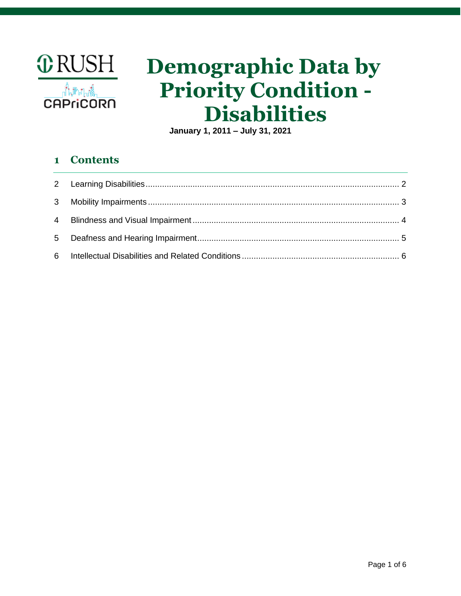

# **Demographic Data by Priority Condition - Disabilities**

**January 1, 2011 – July 31, 2021**

## **1 Contents**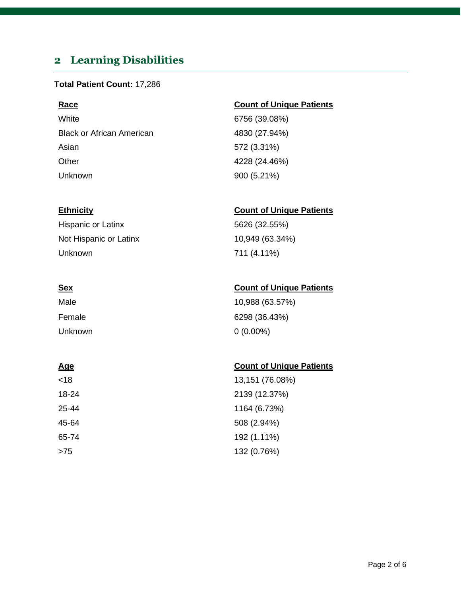# <span id="page-1-0"></span>**2 Learning Disabilities**

#### **Total Patient Count:** 17,286

White 6756 (39.08%) Black or African American 1830 (27.94%) Asian 572 (3.31%) Other 4228 (24.46%) Unknown 900 (5.21%)

Hispanic or Latinx 5626 (32.55%) Not Hispanic or Latinx 10,949 (63.34%) Unknown 711 (4.11%)

| Male    | 10,988 (63.57%) |
|---------|-----------------|
| Female  | 6298 (36.43%)   |
| Unknown | $0(0.00\%)$     |

### **Age** Count of Unique Patients

| <18   | 13,151 (76.08%) |
|-------|-----------------|
| 18-24 | 2139 (12.37%)   |
| 25-44 | 1164 (6.73%)    |
| 45-64 | 508 (2.94%)     |
| 65-74 | 192 (1.11%)     |
| >75   | 132 (0.76%)     |

### **Race Count of Unique Patients**

### **Ethnicity Count of Unique Patients**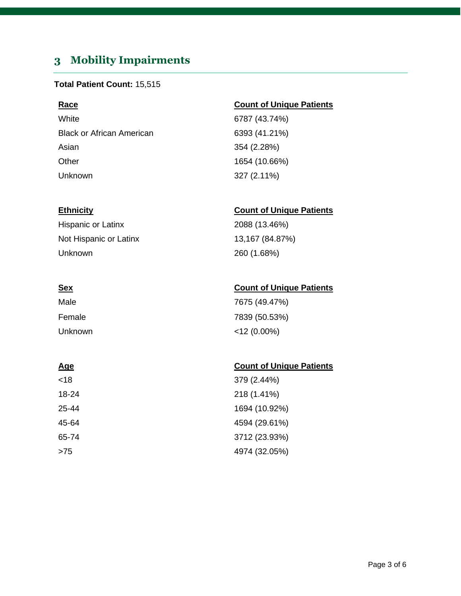# <span id="page-2-0"></span>**3 Mobility Impairments**

#### **Total Patient Count:** 15,515

White 6787 (43.74%) Black or African American 6393 (41.21%) Asian 354 (2.28%) Other 1654 (10.66%) Unknown 327 (2.11%)

Hispanic or Latinx 2088 (13.46%) Not Hispanic or Latinx 13,167 (84.87%) Unknown 260 (1.68%)

| Male    | 7675 (49.47%)  |
|---------|----------------|
| Female  | 7839 (50.53%)  |
| Unknown | $<$ 12 (0.00%) |

| <18   | 379 (2.44%)   |
|-------|---------------|
| 18-24 | 218 (1.41%)   |
| 25-44 | 1694 (10.92%) |
| 45-64 | 4594 (29.61%) |
| 65-74 | 3712 (23.93%) |
| >75   | 4974 (32.05%) |

### **Race Count of Unique Patients**

### **Ethnicity Count of Unique Patients**

### **Sex Count of Unique Patients**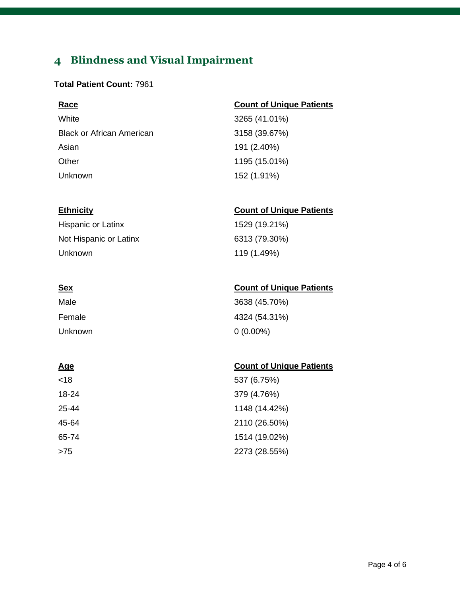# <span id="page-3-0"></span>**4 Blindness and Visual Impairment**

### **Total Patient Count:** 7961

### **Race Count of Unique Patients**

White 3265 (41.01%) Black or African American 3158 (39.67%) Asian 191 (2.40%) Other 1195 (15.01%) Unknown 152 (1.91%)

#### **Ethnicity Count of Unique Patients**

Hispanic or Latinx 1529 (19.21%) Not Hispanic or Latinx 6313 (79.30%) Unknown 119 (1.49%)

### **Sex Count of Unique Patients**

| Male    | 3638 (45.70%) |
|---------|---------------|
| Female  | 4324 (54.31%) |
| Unknown | $0(0.00\%)$   |

| <18   | 537 (6.75%)   |
|-------|---------------|
| 18-24 | 379 (4.76%)   |
| 25-44 | 1148 (14.42%) |
| 45-64 | 2110 (26.50%) |
| 65-74 | 1514 (19.02%) |
| >75   | 2273 (28.55%) |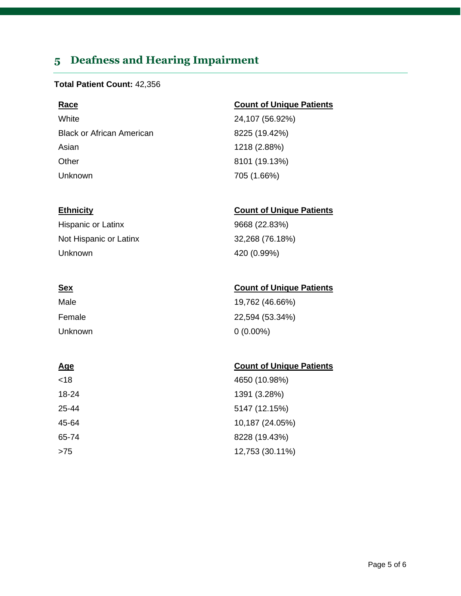# <span id="page-4-0"></span>**5 Deafness and Hearing Impairment**

#### **Total Patient Count:** 42,356

White 24,107 (56.92%) Black or African American 8225 (19.42%) Asian 1218 (2.88%) Other 8101 (19.13%) Unknown 705 (1.66%)

Hispanic or Latinx 9668 (22.83%) Not Hispanic or Latinx 32,268 (76.18%) Unknown 420 (0.99%)

# Male 19,762 (46.66%) Female 22,594 (53.34%) Unknown 0 (0.00%)

<18 4650 (10.98%) 18-24 1391 (3.28%) 25-44 5147 (12.15%) 45-64 10,187 (24.05%) 65-74 8228 (19.43%) >75 12,753 (30.11%)

#### **Race Count of Unique Patients**

### **Ethnicity Count of Unique Patients**

### **Sex Count of Unique Patients**